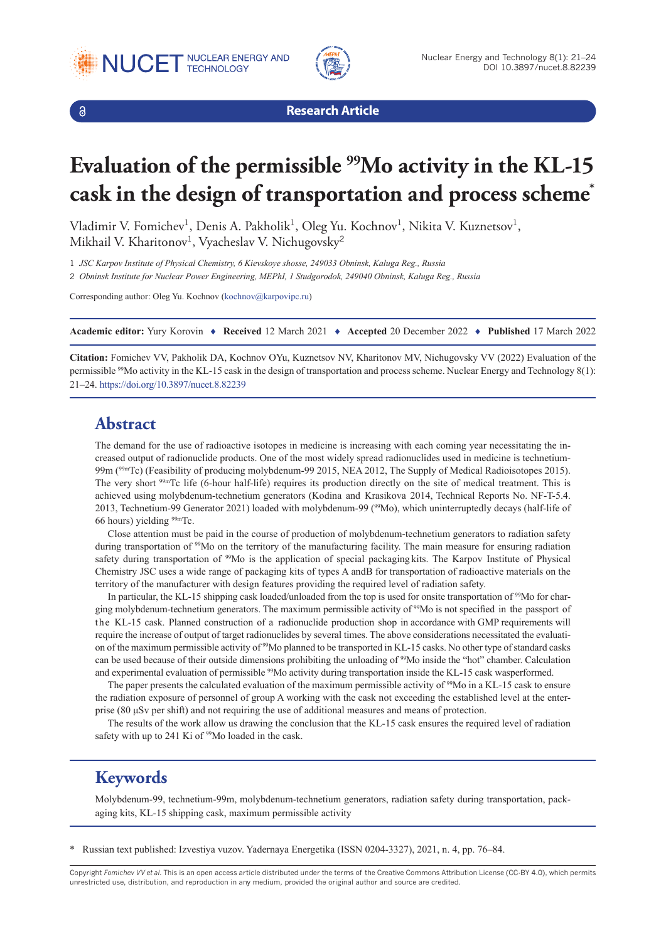





**Research Article**

# **Evaluation of the permissible 99Mo activity in the KL-15 cask in the design of transportation and process scheme\***

Vladimir V. Fomichev<sup>1</sup>, Denis A. Pakholik<sup>1</sup>, Oleg Yu. Kochnov<sup>1</sup>, Nikita V. Kuznetsov<sup>1</sup>, Mikhail V. Kharitonov<sup>1</sup>, Vyacheslav V. Nichugovsky<sup>2</sup>

1 *JSC Karpov Institute of Physical Chemistry, 6 Kievskoye shosse, 249033 Obninsk, Kaluga Reg., Russia*

2 *Obninsk Institute for Nuclear Power Engineering, MEPhI, 1 Studgorodok, 249040 Obninsk, Kaluga Reg., Russia*

Corresponding author: Oleg Yu. Kochnov ([kochnov@karpovipc.ru](mailto:kochnov@karpovipc.ru))

**Academic editor:** Yury Korovin ♦ **Received** 12 March 2021 ♦ **Accepted** 20 December 2022 ♦ **Published** 17 March 2022

**Citation:** Fomichev VV, Pakholik DA, Kochnov OYu, Kuznetsov NV, Kharitonov MV, Nichugovsky VV (2022) Evaluation of the permissible <sup>99</sup>Mo activity in the KL-15 cask in the design of transportation and process scheme. Nuclear Energy and Technology 8(1): 21–24.<https://doi.org/10.3897/nucet.8.82239>

#### **Abstract**

The demand for the use of radioactive isotopes in medicine is increasing with each coming year necessitating the increased output of radionuclide products. One of the most widely spread radionuclides used in medicine is technetium-99m (99mТс) (Feasibility of producing molybdenum-99 2015, NEA 2012, The Supply of Medical Radioisotopes 2015). The very short <sup>99m</sup>Tc life (6-hour half-life) requires its production directly on the site of medical treatment. This is achieved using molybdenum-technetium generators (Kodina and Krasikova 2014, Technical Reports No. NF-T-5.4. 2013, Technetium-99 Generator 2021) loaded with molybdenum-99 (99Мо), which uninterruptedly decays (half-life of 66 hours) yielding  $99m$ Tc.

Close attention must be paid in the course of production of molybdenum-technetium generators to radiation safety during transportation of 99Мо on the territory of the manufacturing facility. The main measure for ensuring radiation safety during transportation of <sup>99</sup>Mo is the application of special packaging kits. The Karpov Institute of Physical Chemistry JSC uses a wide range of packaging kits of types A and B for transportation of radioactive materials on the territory of the manufacturer with design features providing the required level of radiation safety.

In particular, the KL-15 shipping cask loaded/unloaded from the top is used for onsite transportation of <sup>99</sup>Mo for charging molybdenum-technetium generators. The maximum permissible activity of 99Мо is not specified in the passport of the KL-15 cask. Planned construction of a radionuclide production shop in accordance with GMP requirements will require the increase of output of target radionuclides by several times. The above considerations necessitated the evaluation of the maximum permissible activity of <sup>99</sup>Mo planned to be transported in KL-15 casks. No other type of standard casks can be used because of their outside dimensions prohibiting the unloading of 99Мо inside the "hot" chamber. Calculation and experimental evaluation of permissible <sup>99</sup>Mo activity during transportation inside the KL-15 cask was performed.

The paper presents the calculated evaluation of the maximum permissible activity of <sup>99</sup>Mo in a KL-15 cask to ensure the radiation exposure of personnel of group A working with the cask not exceeding the established level at the enterprise (80 μSv per shift) and not requiring the use of additional measures and means of protection.

The results of the work allow us drawing the conclusion that the KL-15 cask ensures the required level of radiation safety with up to 241 Ki of <sup>99</sup>Mo loaded in the cask.

## **Keywords**

Molybdenum-99, technetium-99m, molybdenum-technetium generators, radiation safety during transportation, packaging kits, KL-15 shipping cask, maximum permissible activity

\* Russian text published: Izvestiya vuzov. Yadernaya Energetika (ISSN 0204-3327), 2021, n. 4, pp. 76–84.

Copyright *Fomichev VV et al.* This is an open access article distributed under the terms of the Creative Commons Attribution License (CC-BY 4.0), which permits unrestricted use, distribution, and reproduction in any medium, provided the original author and source are credited.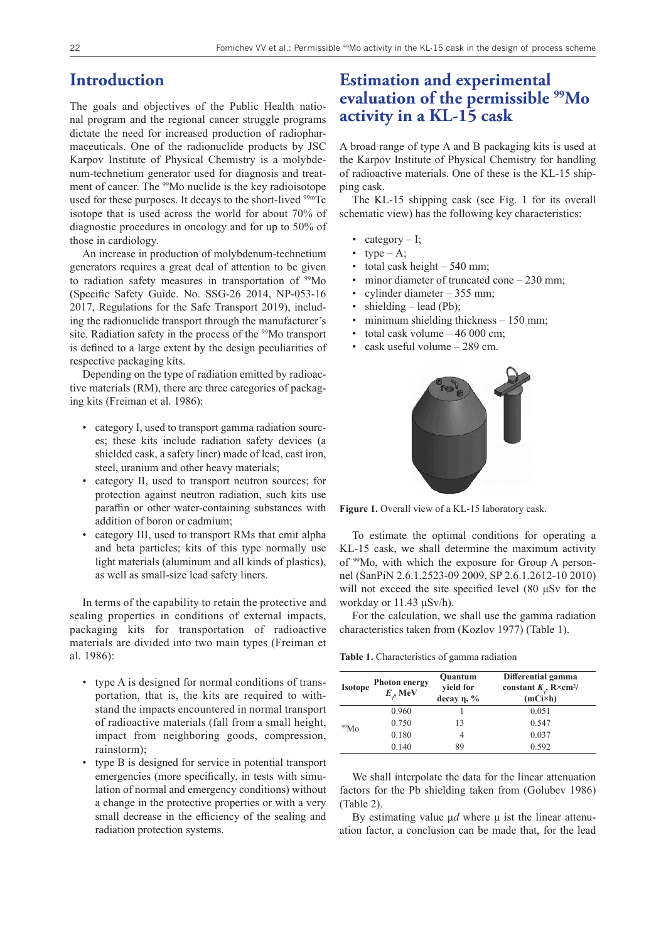#### **Introduction**

The goals and objectives of the Public Health national program and the regional cancer struggle programs dictate the need for increased production of radiopharmaceuticals. One of the radionuclide products by JSC Karpov Institute of Physical Chemistry is a molybdenum-technetium generator used for diagnosis and treatment of cancer. The <sup>99</sup>Mo nuclide is the key radioisotope used for these purposes. It decays to the short-lived <sup>99m</sup>Tc isotope that is used across the world for about 70% of diagnostic procedures in oncology and for up to 50% of those in cardiology.

An increase in production of molybdenum-technetium generators requires a great deal of attention to be given to radiation safety measures in transportation of <sup>99</sup>Mo (Specific Safety Guide. No. SSG-26 2014, NP-053-16 2017, Regulations for the Safe Transport 2019), including the radionuclide transport through the manufacturer's site. Radiation safety in the process of the <sup>99</sup>Mo transport is defined to a large extent by the design peculiarities of respective packaging kits.

Depending on the type of radiation emitted by radioactive materials (RM), there are three categories of packaging kits (Freiman et al. 1986):

- category I, used to transport gamma radiation sources; these kits include radiation safety devices (a shielded cask, a safety liner) made of lead, cast iron, steel, uranium and other heavy materials;
- category II, used to transport neutron sources; for protection against neutron radiation, such kits use paraffin or other water-containing substances with addition of boron or cadmium;
- category III, used to transport RMs that emit alpha and beta particles; kits of this type normally use light materials (aluminum and all kinds of plastics), as well as small-size lead safety liners.

In terms of the capability to retain the protective and sealing properties in conditions of external impacts, packaging kits for transportation of radioactive materials are divided into two main types (Freiman et al. 1986):

- type A is designed for normal conditions of transportation, that is, the kits are required to withstand the impacts encountered in normal transport of radioactive materials (fall from a small height, impact from neighboring goods, compression, rainstorm);
- type B is designed for service in potential transport emergencies (more specifically, in tests with simulation of normal and emergency conditions) without a change in the protective properties or with a very small decrease in the efficiency of the sealing and radiation protection systems.

### **Estimation and experimental evaluation of the permissible 99Mo activity in a KL-15 cask**

A broad range of type A and B packaging kits is used at the Karpov Institute of Physical Chemistry for handling of radioactive materials. One of these is the KL-15 shipping cask.

The KL-15 shipping cask (see Fig. 1 for its overall schematic view) has the following key characteristics:

- category  $I$ ;
- type  $A$ ;
- total cask height  $-540$  mm;
- minor diameter of truncated cone  $-230$  mm;
- cylinder diameter  $-355$  mm;
- shielding  $-$  lead (Pb);
- minimum shielding thickness 150 mm;
- total cask volume  $-46000$  cm;
- cask useful volume 289 cm.





To estimate the optimal conditions for operating a KL-15 cask, we shall determine the maximum activity of 99Мо, with which the exposure for Group A personnel (SanPiN 2.6.1.2523-09 2009, SP 2.6.1.2612-10 2010) will not exceed the site specified level (80 μSv for the workday or 11.43 μSv/h).

For the calculation, we shall use the gamma radiation characteristics taken from (Kozlov 1977) (Table 1).

**Table 1.** Characteristics of gamma radiation

| <b>Isotope</b>   | <b>Photon energy</b><br>$E_{.}$ , MeV | Quantum<br>yield for<br>decay $\eta$ , % | Differential gamma<br>constant $K_{y}$ , R×cm <sup>2</sup> /<br>$(mCi\times h)$ |
|------------------|---------------------------------------|------------------------------------------|---------------------------------------------------------------------------------|
| 99M <sub>0</sub> | 0.960                                 |                                          | 0.051                                                                           |
|                  | 0.750                                 | 13                                       | 0.547                                                                           |
|                  | 0.180                                 |                                          | 0.037                                                                           |
|                  | 0.140                                 | 89                                       | 0.592                                                                           |

We shall interpolate the data for the linear attenuation factors for the Pb shielding taken from (Golubev 1986) (Table 2).

By estimating value μ*d* where μ ist the linear attenuation factor, a conclusion can be made that, for the lead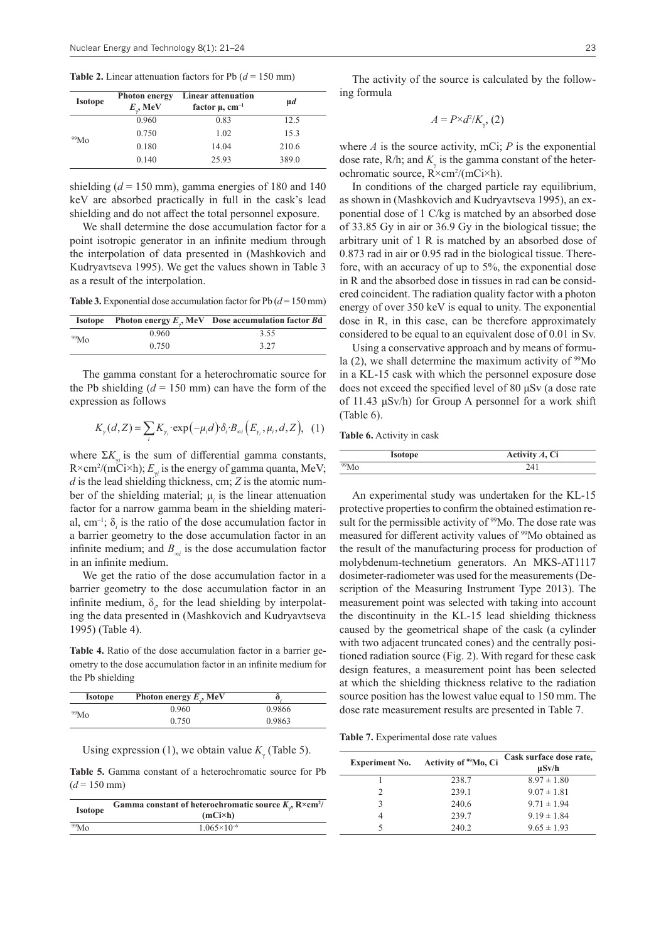**Table 2.** Linear attenuation factors for Pb  $(d = 150 \text{ mm})$ 

| <b>Isotope</b>   | <b>Photon energy</b><br>$E_{\cdot}$ , MeV | Linear attenuation<br>factor $\mu$ , cm <sup>-1</sup> | $\mu$ d |
|------------------|-------------------------------------------|-------------------------------------------------------|---------|
| 99M <sub>0</sub> | 0.960                                     | 0.83                                                  | 12.5    |
|                  | 0.750                                     | 1.02                                                  | 15.3    |
|                  | 0.180                                     | 14.04                                                 | 210.6   |
|                  | 0.140                                     | 25.93                                                 | 389.0   |

shielding  $(d = 150 \text{ mm})$ , gamma energies of 180 and 140 keV are absorbed practically in full in the cask's lead shielding and do not affect the total personnel exposure.

We shall determine the dose accumulation factor for a point isotropic generator in an infinite medium through the interpolation of data presented in (Mashkovich and Kudryavtseva 1995). We get the values shown in Table 3 as a result of the interpolation.

**Table 3.** Exponential dose accumulation factor for Pb  $(d = 150 \text{ mm})$ 

|                  |       | <b>Isotope</b> Photon energy $E_a$ , MeV Dose accumulation factor Bd |
|------------------|-------|----------------------------------------------------------------------|
| 99M <sub>0</sub> | 0.960 | 3.55                                                                 |
|                  | 0.750 | 3.27                                                                 |

The gamma constant for a heterochromatic source for the Pb shielding  $(d = 150 \text{ mm})$  can have the form of the expression as follows

$$
K_{\gamma}(d,Z) = \sum_{i} K_{\gamma_i} \cdot \exp\left(-\mu_i d\right) \cdot \delta_i \cdot B_{\infty i} \left(E_{\gamma_i}, \mu_i, d, Z\right), \tag{1}
$$

where  $\Sigma K_{\gamma i}$  is the sum of differential gamma constants, R×cm<sup>2</sup>/(mCi×h);  $E_{\gamma i}$  is the energy of gamma quanta, MeV; *d* is the lead shielding thickness, cm; *Z* is the atomic number of the shielding material; μ*<sup>i</sup>* is the linear attenuation factor for a narrow gamma beam in the shielding material, cm–1; δ*<sup>i</sup>* is the ratio of the dose accumulation factor in a barrier geometry to the dose accumulation factor in an infinite medium; and  $B_{\infty}$  is the dose accumulation factor in an infinite medium.

We get the ratio of the dose accumulation factor in a barrier geometry to the dose accumulation factor in an infinite medium,  $\delta$ <sub>i</sub>, for the lead shielding by interpolating the data presented in (Mashkovich and Kudryavtseva 1995) (Table 4).

**Table 4.** Ratio of the dose accumulation factor in a barrier geometry to the dose accumulation factor in an infinite medium for the Pb shielding

| <b>Isotope</b>   | Photon energy $E_{\alpha}$ , MeV |        |
|------------------|----------------------------------|--------|
| 99M <sub>0</sub> | 0.960                            | 0.9866 |
|                  | 0.750                            | 0.9863 |

Using expression (1), we obtain value  $K_\gamma$  (Table 5).

**Table 5.** Gamma constant of a heterochromatic source for Pb  $(d = 150$  mm)

| <b>Isotope</b>   | Gamma constant of heterochromatic source $K_{n}$ , $R \times cm^{2}/$<br>(mCixh) |  |
|------------------|----------------------------------------------------------------------------------|--|
| 99M <sub>O</sub> | $1.065\times10^{-6}$                                                             |  |

The activity of the source is calculated by the following formula

$$
A = P \times d^2 / K_{\gamma}, (2)
$$

where *А* is the source activity, mCi; *P* is the exponential dose rate,  $R/h$ ; and  $K_{\gamma}$  is the gamma constant of the heterochromatic source, R×cm2 /(mCi×h).

In conditions of the charged particle ray equilibrium, as shown in (Mashkovich and Kudryavtseva 1995), an exponential dose of 1 C/kg is matched by an absorbed dose of 33.85 Gy in air or 36.9 Gy in the biological tissue; the arbitrary unit of 1 R is matched by an absorbed dose of 0.873 rad in air or 0.95 rad in the biological tissue. Therefore, with an accuracy of up to 5%, the exponential dose in R and the absorbed dose in tissues in rad can be considered coincident. The radiation quality factor with a photon energy of over 350 keV is equal to unity. The exponential dose in R, in this case, can be therefore approximately considered to be equal to an equivalent dose of 0.01 in Sv.

Using a conservative approach and by means of formula  $(2)$ , we shall determine the maximum activity of  $99$ Mo in a KL-15 cask with which the personnel exposure dose does not exceed the specified level of 80 μSv (a dose rate of 11.43 μSv/h) for Group A personnel for a work shift (Table 6).

**Table 6.** Activity in cask

| <b>Isotope</b> | Activity $A$ , Ci |
|----------------|-------------------|
| °Mo            |                   |

An experimental study was undertaken for the KL-15 protective properties to confirm the obtained estimation result for the permissible activity of <sup>99</sup>Mo. The dose rate was measured for different activity values of <sup>99</sup>Mo obtained as the result of the manufacturing process for production of molybdenum-technetium generators. An MKS-AT1117 dosimeter-radiometer was used for the measurements (Description of the Measuring Instrument Type 2013). The measurement point was selected with taking into account the discontinuity in the KL-15 lead shielding thickness caused by the geometrical shape of the cask (a cylinder with two adjacent truncated cones) and the centrally positioned radiation source (Fig. 2). With regard for these cask design features, a measurement point has been selected at which the shielding thickness relative to the radiation source position has the lowest value equal to 150 mm. The dose rate measurement results are presented in Table 7.

**Table 7.** Experimental dose rate values

| <b>Experiment No.</b> | Activity of <sup>99</sup> Mo, Ci | Cask surface dose rate,<br>$\mu$ Sv/h |
|-----------------------|----------------------------------|---------------------------------------|
|                       | 238.7                            | $8.97 \pm 1.80$                       |
|                       | 239.1                            | $9.07 \pm 1.81$                       |
| 3                     | 240.6                            | $9.71 \pm 1.94$                       |
|                       | 239.7                            | $9.19 \pm 1.84$                       |
|                       | 240.2                            | $9.65 \pm 1.93$                       |